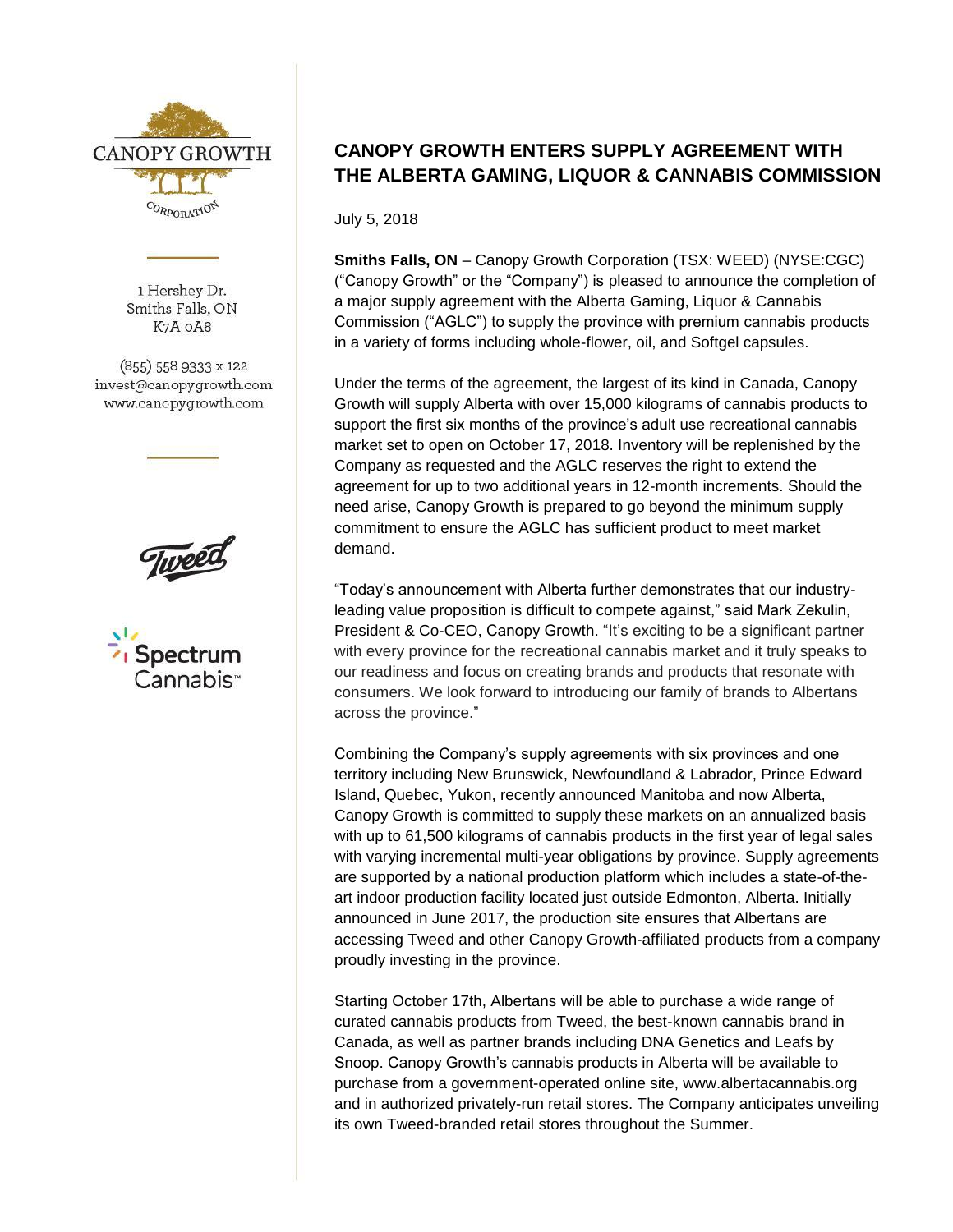

1 Hershey Dr. Smiths Falls, ON K7A OA8

(855) 558 9333 x 122 invest@canopygrowth.com www.canopygrowth.com





## **CANOPY GROWTH ENTERS SUPPLY AGREEMENT WITH THE ALBERTA GAMING, LIQUOR & CANNABIS COMMISSION**

July 5, 2018

**Smiths Falls, ON** – Canopy Growth Corporation (TSX: WEED) (NYSE:CGC) ("Canopy Growth" or the "Company") is pleased to announce the completion of a major supply agreement with the Alberta Gaming, Liquor & Cannabis Commission ("AGLC") to supply the province with premium cannabis products in a variety of forms including whole-flower, oil, and Softgel capsules.

Under the terms of the agreement, the largest of its kind in Canada, Canopy Growth will supply Alberta with over 15,000 kilograms of cannabis products to support the first six months of the province's adult use recreational cannabis market set to open on October 17, 2018. Inventory will be replenished by the Company as requested and the AGLC reserves the right to extend the agreement for up to two additional years in 12-month increments. Should the need arise, Canopy Growth is prepared to go beyond the minimum supply commitment to ensure the AGLC has sufficient product to meet market demand.

"Today's announcement with Alberta further demonstrates that our industryleading value proposition is difficult to compete against," said Mark Zekulin, President & Co-CEO, Canopy Growth. "It's exciting to be a significant partner with every province for the recreational cannabis market and it truly speaks to our readiness and focus on creating brands and products that resonate with consumers. We look forward to introducing our family of brands to Albertans across the province."

Combining the Company's supply agreements with six provinces and one territory including New Brunswick, Newfoundland & Labrador, Prince Edward Island, Quebec, Yukon, recently announced Manitoba and now Alberta, Canopy Growth is committed to supply these markets on an annualized basis with up to 61,500 kilograms of cannabis products in the first year of legal sales with varying incremental multi-year obligations by province. Supply agreements are supported by a national production platform which includes a state-of-theart indoor production facility located just outside Edmonton, Alberta. Initially announced in June 2017, the production site ensures that Albertans are accessing Tweed and other Canopy Growth-affiliated products from a company proudly investing in the province.

Starting October 17th, Albertans will be able to purchase a wide range of curated cannabis products from Tweed, the best-known cannabis brand in Canada, as well as partner brands including DNA Genetics and Leafs by Snoop. Canopy Growth's cannabis products in Alberta will be available to purchase from a government-operated online site, www.albertacannabis.org and in authorized privately-run retail stores. The Company anticipates unveiling its own Tweed-branded retail stores throughout the Summer.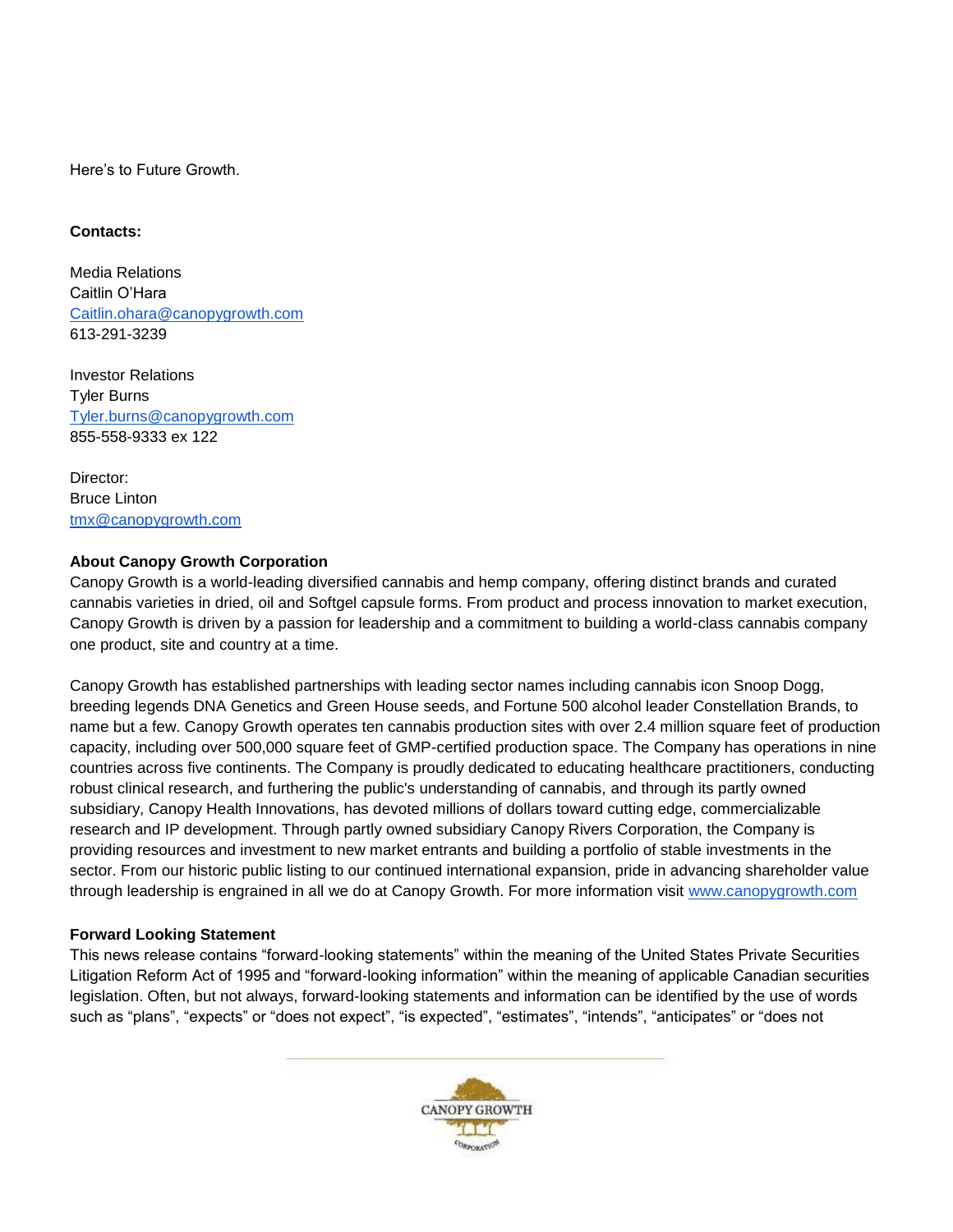Here's to Future Growth.

## **Contacts:**

Media Relations Caitlin O'Hara [Caitlin.ohara@canopygrowth.com](mailto:Caitlin.ohara@canopygrowth.com) 613-291-3239

Investor Relations Tyler Burns [Tyler.burns@canopygrowth.com](mailto:Tyler.burns@canopygrowth.com) 855-558-9333 ex 122

Director: Bruce Linton [tmx@canopygrowth.com](mailto:tmx@canopygrowth.com)

## **About Canopy Growth Corporation**

Canopy Growth is a world-leading diversified cannabis and hemp company, offering distinct brands and curated cannabis varieties in dried, oil and Softgel capsule forms. From product and process innovation to market execution, Canopy Growth is driven by a passion for leadership and a commitment to building a world-class cannabis company one product, site and country at a time.

Canopy Growth has established partnerships with leading sector names including cannabis icon Snoop Dogg, breeding legends DNA Genetics and Green House seeds, and Fortune 500 alcohol leader Constellation Brands, to name but a few. Canopy Growth operates ten cannabis production sites with over 2.4 million square feet of production capacity, including over 500,000 square feet of GMP-certified production space. The Company has operations in nine countries across five continents. The Company is proudly dedicated to educating healthcare practitioners, conducting robust clinical research, and furthering the public's understanding of cannabis, and through its partly owned subsidiary, Canopy Health Innovations, has devoted millions of dollars toward cutting edge, commercializable research and IP development. Through partly owned subsidiary Canopy Rivers Corporation, the Company is providing resources and investment to new market entrants and building a portfolio of stable investments in the sector. From our historic public listing to our continued international expansion, pride in advancing shareholder value through leadership is engrained in all we do at Canopy Growth. For more information visit [www.canopygrowth.com](http://www.canopygrowth.com/)

## **Forward Looking Statement**

This news release contains "forward-looking statements" within the meaning of the United States Private Securities Litigation Reform Act of 1995 and "forward-looking information" within the meaning of applicable Canadian securities legislation. Often, but not always, forward-looking statements and information can be identified by the use of words such as "plans", "expects" or "does not expect", "is expected", "estimates", "intends", "anticipates" or "does not